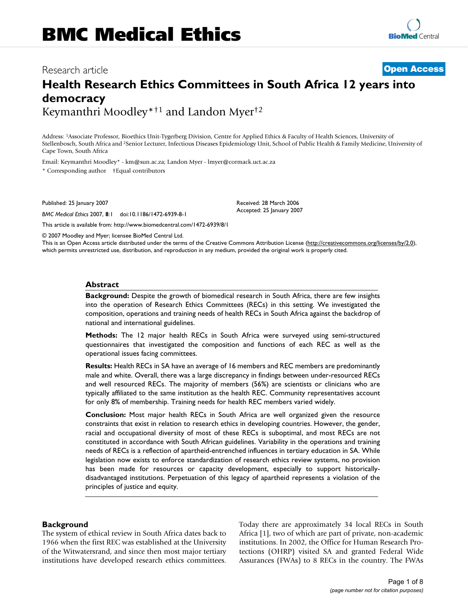# Research article **[Open Access](http://www.biomedcentral.com/info/about/charter/)**

# **Health Research Ethics Committees in South Africa 12 years into democracy** Keymanthri Moodley\*†1 and Landon Myer†2

Address: 1Associate Professor, Bioethics Unit-Tygerberg Division, Centre for Applied Ethics & Faculty of Health Sciences, University of Stellenbosch, South Africa and 2Senior Lecturer, Infectious Diseases Epidemiology Unit, School of Public Health & Family Medicine, University of Cape Town, South Africa

Email: Keymanthri Moodley\* - km@sun.ac.za; Landon Myer - lmyer@cormack.uct.ac.za

\* Corresponding author †Equal contributors

Published: 25 January 2007

*BMC Medical Ethics* 2007, **8**:1 doi:10.1186/1472-6939-8-1

[This article is available from: http://www.biomedcentral.com/1472-6939/8/1](http://www.biomedcentral.com/1472-6939/8/1)

Received: 28 March 2006 Accepted: 25 January 2007

© 2007 Moodley and Myer; licensee BioMed Central Ltd.

This is an Open Access article distributed under the terms of the Creative Commons Attribution License [\(http://creativecommons.org/licenses/by/2.0\)](http://creativecommons.org/licenses/by/2.0), which permits unrestricted use, distribution, and reproduction in any medium, provided the original work is properly cited.

#### **Abstract**

**Background:** Despite the growth of biomedical research in South Africa, there are few insights into the operation of Research Ethics Committees (RECs) in this setting. We investigated the composition, operations and training needs of health RECs in South Africa against the backdrop of national and international guidelines.

**Methods:** The 12 major health RECs in South Africa were surveyed using semi-structured questionnaires that investigated the composition and functions of each REC as well as the operational issues facing committees.

**Results:** Health RECs in SA have an average of 16 members and REC members are predominantly male and white. Overall, there was a large discrepancy in findings between under-resourced RECs and well resourced RECs. The majority of members (56%) are scientists or clinicians who are typically affiliated to the same institution as the health REC. Community representatives account for only 8% of membership. Training needs for health REC members varied widely.

**Conclusion:** Most major health RECs in South Africa are well organized given the resource constraints that exist in relation to research ethics in developing countries. However, the gender, racial and occupational diversity of most of these RECs is suboptimal, and most RECs are not constituted in accordance with South African guidelines. Variability in the operations and training needs of RECs is a reflection of apartheid-entrenched influences in tertiary education in SA. While legislation now exists to enforce standardization of research ethics review systems, no provision has been made for resources or capacity development, especially to support historicallydisadvantaged institutions. Perpetuation of this legacy of apartheid represents a violation of the principles of justice and equity.

#### **Background**

The system of ethical review in South Africa dates back to 1966 when the first REC was established at the University of the Witwatersrand, and since then most major tertiary institutions have developed research ethics committees. Today there are approximately 34 local RECs in South Africa [1], two of which are part of private, non-academic institutions. In 2002, the Office for Human Research Protections (OHRP) visited SA and granted Federal Wide Assurances (FWAs) to 8 RECs in the country. The FWAs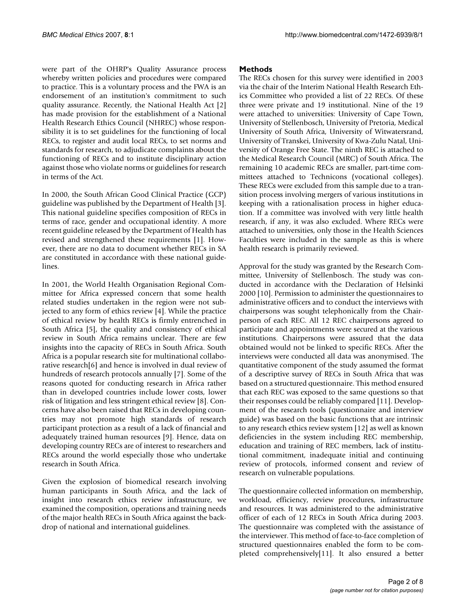were part of the OHRP's Quality Assurance process whereby written policies and procedures were compared to practice. This is a voluntary process and the FWA is an endorsement of an institution's commitment to such quality assurance. Recently, the National Health Act [2] has made provision for the establishment of a National Health Research Ethics Council (NHREC) whose responsibility it is to set guidelines for the functioning of local RECs, to register and audit local RECs, to set norms and standards for research, to adjudicate complaints about the functioning of RECs and to institute disciplinary action against those who violate norms or guidelines for research in terms of the Act.

In 2000, the South African Good Clinical Practice (GCP) guideline was published by the Department of Health [3]. This national guideline specifies composition of RECs in terms of race, gender and occupational identity. A more recent guideline released by the Department of Health has revised and strengthened these requirements [1]. However, there are no data to document whether RECs in SA are constituted in accordance with these national guidelines.

In 2001, the World Health Organisation Regional Committee for Africa expressed concern that some health related studies undertaken in the region were not subjected to any form of ethics review [4]. While the practice of ethical review by health RECs is firmly entrenched in South Africa [5], the quality and consistency of ethical review in South Africa remains unclear. There are few insights into the capacity of RECs in South Africa. South Africa is a popular research site for multinational collaborative research[6] and hence is involved in dual review of hundreds of research protocols annually [7]. Some of the reasons quoted for conducting research in Africa rather than in developed countries include lower costs, lower risk of litigation and less stringent ethical review [8]. Concerns have also been raised that RECs in developing countries may not promote high standards of research participant protection as a result of a lack of financial and adequately trained human resources [9]. Hence, data on developing country RECs are of interest to researchers and RECs around the world especially those who undertake research in South Africa.

Given the explosion of biomedical research involving human participants in South Africa, and the lack of insight into research ethics review infrastructure, we examined the composition, operations and training needs of the major health RECs in South Africa against the backdrop of national and international guidelines.

# **Methods**

The RECs chosen for this survey were identified in 2003 via the chair of the Interim National Health Research Ethics Committee who provided a list of 22 RECs. Of these three were private and 19 institutional. Nine of the 19 were attached to universities: University of Cape Town, University of Stellenbosch, University of Pretoria, Medical University of South Africa, University of Witwatersrand, University of Transkei, University of Kwa-Zulu Natal, University of Orange Free State. The ninth REC is attached to the Medical Research Council (MRC) of South Africa. The remaining 10 academic RECs are smaller, part-time committees attached to Technicons (vocational colleges). These RECs were excluded from this sample due to a transition process involving mergers of various institutions in keeping with a rationalisation process in higher education. If a committee was involved with very little health research, if any, it was also excluded. Where RECs were attached to universities, only those in the Health Sciences Faculties were included in the sample as this is where health research is primarily reviewed.

Approval for the study was granted by the Research Committee, University of Stellenbosch. The study was conducted in accordance with the Declaration of Helsinki 2000 [10]. Permission to administer the questionnaires to administrative officers and to conduct the interviews with chairpersons was sought telephonically from the Chairperson of each REC. All 12 REC chairpersons agreed to participate and appointments were secured at the various institutions. Chairpersons were assured that the data obtained would not be linked to specific RECs. After the interviews were conducted all data was anonymised. The quantitative component of the study assumed the format of a descriptive survey of RECs in South Africa that was based on a structured questionnaire. This method ensured that each REC was exposed to the same questions so that their responses could be reliably compared [11]. Development of the research tools (questionnaire and interview guide) was based on the basic functions that are intrinsic to any research ethics review system [12] as well as known deficiencies in the system including REC membership, education and training of REC members, lack of institutional commitment, inadequate initial and continuing review of protocols, informed consent and review of research on vulnerable populations.

The questionnaire collected information on membership, workload, efficiency, review procedures, infrastructure and resources. It was administered to the administrative officer of each of 12 RECs in South Africa during 2003. The questionnaire was completed with the assistance of the interviewer. This method of face-to-face completion of structured questionnaires enabled the form to be completed comprehensively[11]. It also ensured a better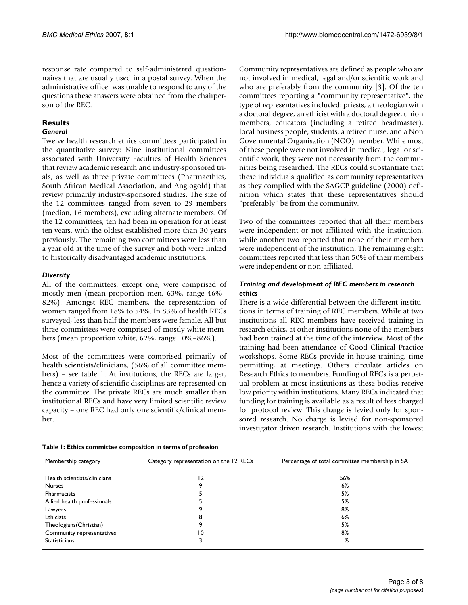response rate compared to self-administered questionnaires that are usually used in a postal survey. When the administrative officer was unable to respond to any of the questions these answers were obtained from the chairperson of the REC.

# **Results**

# *General*

Twelve health research ethics committees participated in the quantitative survey: Nine institutional committees associated with University Faculties of Health Sciences that review academic research and industry-sponsored trials, as well as three private committees (Pharmaethics, South African Medical Association, and Anglogold) that review primarily industry-sponsored studies. The size of the 12 committees ranged from seven to 29 members (median, 16 members), excluding alternate members. Of the 12 committees, ten had been in operation for at least ten years, with the oldest established more than 30 years previously. The remaining two committees were less than a year old at the time of the survey and both were linked to historically disadvantaged academic institutions.

#### *Diversity*

All of the committees, except one, were comprised of mostly men (mean proportion men, 63%, range 46%– 82%). Amongst REC members, the representation of women ranged from 18% to 54%. In 83% of health RECs surveyed, less than half the members were female. All but three committees were comprised of mostly white members (mean proportion white, 62%, range 10%–86%).

Most of the committees were comprised primarily of health scientists/clinicians, (56% of all committee members) – see table 1. At institutions, the RECs are larger, hence a variety of scientific disciplines are represented on the committee. The private RECs are much smaller than institutional RECs and have very limited scientific review capacity – one REC had only one scientific/clinical member.

Community representatives are defined as people who are not involved in medical, legal and/or scientific work and who are preferably from the community [3]. Of the ten committees reporting a "community representative", the type of representatives included: priests, a theologian with a doctoral degree, an ethicist with a doctoral degree, union members, educators (including a retired headmaster), local business people, students, a retired nurse, and a Non Governmental Organisation (NGO) member. While most of these people were not involved in medical, legal or scientific work, they were not necessarily from the communities being researched. The RECs could substantiate that these individuals qualified as community representatives as they complied with the SAGCP guideline (2000) definition which states that these representatives should "preferably" be from the community.

Two of the committees reported that all their members were independent or not affiliated with the institution, while another two reported that none of their members were independent of the institution. The remaining eight committees reported that less than 50% of their members were independent or non-affiliated.

# *Training and development of REC members in research ethics*

There is a wide differential between the different institutions in terms of training of REC members. While at two institutions all REC members have received training in research ethics, at other institutions none of the members had been trained at the time of the interview. Most of the training had been attendance of Good Clinical Practice workshops. Some RECs provide in-house training, time permitting, at meetings. Others circulate articles on Research Ethics to members. Funding of RECs is a perpetual problem at most institutions as these bodies receive low priority within institutions. Many RECs indicated that funding for training is available as a result of fees charged for protocol review. This charge is levied only for sponsored research. No charge is levied for non-sponsored investigator driven research. Institutions with the lowest

|  |  |  | Table 1: Ethics committee composition in terms of profession |  |  |
|--|--|--|--------------------------------------------------------------|--|--|
|--|--|--|--------------------------------------------------------------|--|--|

| Membership category          | Category representation on the 12 RECs | Percentage of total committee membership in SA |  |
|------------------------------|----------------------------------------|------------------------------------------------|--|
| Health scientists/clinicians | $\overline{2}$                         | 56%                                            |  |
| <b>Nurses</b>                | q                                      | 6%                                             |  |
| Pharmacists                  |                                        | 5%                                             |  |
| Allied health professionals  |                                        | 5%                                             |  |
| Lawyers                      | ۰                                      | 8%                                             |  |
| <b>Ethicists</b>             | 8                                      | 6%                                             |  |
| Theologians (Christian)      | o                                      | 5%                                             |  |
| Community representatives    | 10                                     | 8%                                             |  |
| <b>Statisticians</b>         |                                        | 1%                                             |  |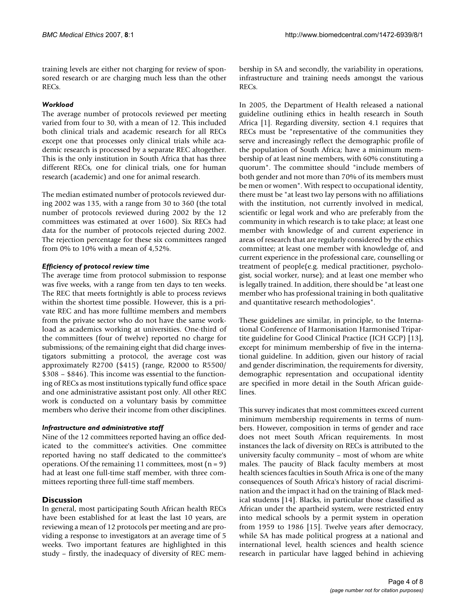training levels are either not charging for review of sponsored research or are charging much less than the other RECs.

# *Workload*

The average number of protocols reviewed per meeting varied from four to 30, with a mean of 12. This included both clinical trials and academic research for all RECs except one that processes only clinical trials while academic research is processed by a separate REC altogether. This is the only institution in South Africa that has three different RECs, one for clinical trials, one for human research (academic) and one for animal research.

The median estimated number of protocols reviewed during 2002 was 135, with a range from 30 to 360 (the total number of protocols reviewed during 2002 by the 12 committees was estimated at over 1600). Six RECs had data for the number of protocols rejected during 2002. The rejection percentage for these six committees ranged from 0% to 10% with a mean of 4,52%.

#### *Efficiency of protocol review time*

The average time from protocol submission to response was five weeks, with a range from ten days to ten weeks. The REC that meets fortnightly is able to process reviews within the shortest time possible. However, this is a private REC and has more fulltime members and members from the private sector who do not have the same workload as academics working at universities. One-third of the committees (four of twelve) reported no charge for submissions; of the remaining eight that did charge investigators submitting a protocol, the average cost was approximately R2700 (\$415) (range, R2000 to R5500/ \$308 – \$846). This income was essential to the functioning of RECs as most institutions typically fund office space and one administrative assistant post only. All other REC work is conducted on a voluntary basis by committee members who derive their income from other disciplines.

# *Infrastructure and administrative staff*

Nine of the 12 committees reported having an office dedicated to the committee's activities. One committee reported having no staff dedicated to the committee's operations. Of the remaining 11 committees, most  $(n = 9)$ had at least one full-time staff member, with three committees reporting three full-time staff members.

# **Discussion**

In general, most participating South African health RECs have been established for at least the last 10 years, are reviewing a mean of 12 protocols per meeting and are providing a response to investigators at an average time of 5 weeks. Two important features are highlighted in this study – firstly, the inadequacy of diversity of REC membership in SA and secondly, the variability in operations, infrastructure and training needs amongst the various RECs.

In 2005, the Department of Health released a national guideline outlining ethics in health research in South Africa [1]. Regarding diversity, section 4.1 requires that RECs must be "representative of the communities they serve and increasingly reflect the demographic profile of the population of South Africa; have a minimum membership of at least nine members, with 60% constituting a quorum". The committee should "include members of both gender and not more than 70% of its members must be men or women". With respect to occupational identity, there must be "at least two lay persons with no affiliations with the institution, not currently involved in medical, scientific or legal work and who are preferably from the community in which research is to take place; at least one member with knowledge of and current experience in areas of research that are regularly considered by the ethics committee; at least one member with knowledge of, and current experience in the professional care, counselling or treatment of people(e.g. medical practitioner, psychologist, social worker, nurse); and at least one member who is legally trained. In addition, there should be "at least one member who has professional training in both qualitative and quantitative research methodologies".

These guidelines are similar, in principle, to the International Conference of Harmonisation Harmonised Tripartite guideline for Good Clinical Practice (ICH GCP) [13], except for minimum membership of five in the international guideline. In addition, given our history of racial and gender discrimination, the requirements for diversity, demographic representation and occupational identity are specified in more detail in the South African guidelines.

This survey indicates that most committees exceed current minimum membership requirements in terms of numbers. However, composition in terms of gender and race does not meet South African requirements. In most instances the lack of diversity on RECs is attributed to the university faculty community – most of whom are white males. The paucity of Black faculty members at most health sciences faculties in South Africa is one of the many consequences of South Africa's history of racial discrimination and the impact it had on the training of Black medical students [14]. Blacks, in particular those classified as African under the apartheid system, were restricted entry into medical schools by a permit system in operation from 1959 to 1986 [15]. Twelve years after democracy, while SA has made political progress at a national and international level, health sciences and health science research in particular have lagged behind in achieving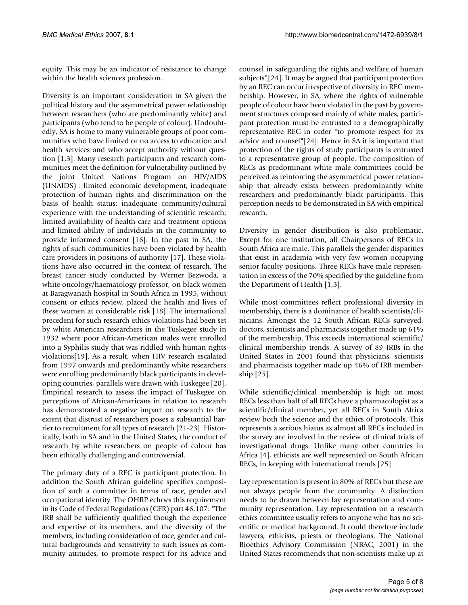equity. This may be an indicator of resistance to change within the health sciences profession.

Diversity is an important consideration in SA given the political history and the asymmetrical power relationship between researchers (who are predominantly white) and participants (who tend to be people of colour). Undoubtedly, SA is home to many vulnerable groups of poor communities who have limited or no access to education and health services and who accept authority without question [1,3]. Many research participants and research communities meet the definition for vulnerability outlined by the joint United Nations Program on HIV/AIDS (UNAIDS) : limited economic development; inadequate protection of human rights and discrimination on the basis of health status; inadequate community/cultural experience with the understanding of scientific research; limited availability of health care and treatment options and limited ability of individuals in the community to provide informed consent [16]. In the past in SA, the rights of such communities have been violated by health care providers in positions of authority [17]. These violations have also occurred in the context of research. The breast cancer study conducted by Werner Bezwoda, a white oncology/haematology professor, on black women at Baragwanath hospital in South Africa in 1995, without consent or ethics review, placed the health and lives of these women at considerable risk [18]. The international precedent for such research ethics violations had been set by white American researchers in the Tuskegee study in 1932 where poor African-American males were enrolled into a Syphilis study that was riddled with human rights violations[19]. As a result, when HIV research escalated from 1997 onwards and predominantly white researchers were enrolling predominantly black participants in developing countries, parallels were drawn with Tuskegee [20]. Empirical research to assess the impact of Tuskegee on perceptions of African-Americans in relation to research has demonstrated a negative impact on research to the extent that distrust of researchers poses a substantial barrier to recruitment for all types of research [21-23]. Historically, both in SA and in the United States, the conduct of research by white researchers on people of colour has been ethically challenging and controversial.

The primary duty of a REC is participant protection. In addition the South African guideline specifies composition of such a committee in terms of race, gender and occupational identity. The OHRP echoes this requirement in its Code of Federal Regulations (CFR) part 46.107: "The IRB shall be sufficiently qualified though the experience and expertise of its members, and the diversity of the members, including consideration of race, gender and cultural backgrounds and sensitivity to such issues as community attitudes, to promote respect for its advice and

counsel in safeguarding the rights and welfare of human subjects"[24]. It may be argued that participant protection by an REC can occur irrespective of diversity in REC membership. However, in SA, where the rights of vulnerable people of colour have been violated in the past by government structures composed mainly of white males, participant protection must be entrusted to a demographically representative REC in order "to promote respect for its advice and counsel"[24]. Hence in SA it is important that protection of the rights of study participants is entrusted to a representative group of people. The composition of RECs as predominant white male committees could be perceived as reinforcing the asymmetrical power relationship that already exists between predominantly white researchers and predominantly black participants. This perception needs to be demonstrated in SA with empirical research.

Diversity in gender distribution is also problematic. Except for one institution, all Chairpersons of RECs in South Africa are male. This parallels the gender disparities that exist in academia with very few women occupying senior faculty positions. Three RECs have male representation in excess of the 70% specified by the guideline from the Department of Health [1,3].

While most committees reflect professional diversity in membership, there is a dominance of health scientists/clinicians. Amongst the 12 South African RECs surveyed, doctors, scientists and pharmacists together made up 61% of the membership. This exceeds international scientific/ clinical membership trends. A survey of 89 IRBs in the United States in 2001 found that physicians, scientists and pharmacists together made up 46% of IRB membership [25].

While scientific/clinical membership is high on most RECs less than half of all RECs have a pharmacologist as a scientific/clinical member, yet all RECs in South Africa review both the science and the ethics of protocols. This represents a serious hiatus as almost all RECs included in the survey are involved in the review of clinical trials of investigational drugs. Unlike many other countries in Africa [4], ethicists are well represented on South African RECs, in keeping with international trends [25].

Lay representation is present in 80% of RECs but these are not always people from the community. A distinction needs to be drawn between lay representation and community representation. Lay representation on a research ethics committee usually refers to anyone who has no scientific or medical background. It could therefore include lawyers, ethicists, priests or theologians. The National Bioethics Advisory Commission (NBAC, 2001) in the United States recommends that non-scientists make up at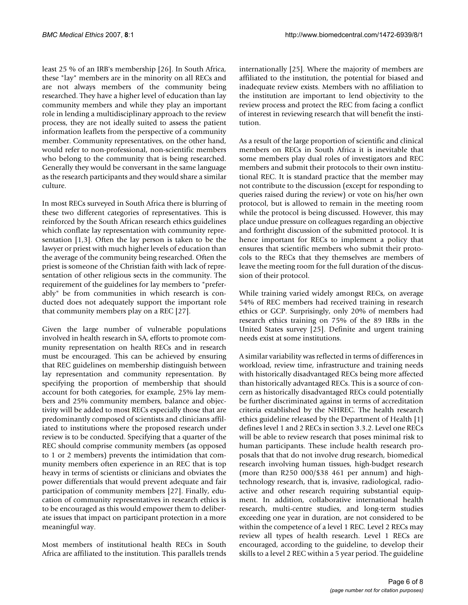least 25 % of an IRB's membership [26]. In South Africa, these "lay" members are in the minority on all RECs and are not always members of the community being researched. They have a higher level of education than lay community members and while they play an important role in lending a multidisciplinary approach to the review process, they are not ideally suited to assess the patient information leaflets from the perspective of a community member. Community representatives, on the other hand, would refer to non-professional, non-scientific members who belong to the community that is being researched. Generally they would be conversant in the same language as the research participants and they would share a similar culture.

In most RECs surveyed in South Africa there is blurring of these two different categories of representatives. This is reinforced by the South African research ethics guidelines which conflate lay representation with community representation [1,3]. Often the lay person is taken to be the lawyer or priest with much higher levels of education than the average of the community being researched. Often the priest is someone of the Christian faith with lack of representation of other religious sects in the community. The requirement of the guidelines for lay members to "preferably" be from communities in which research is conducted does not adequately support the important role that community members play on a REC [27].

Given the large number of vulnerable populations involved in health research in SA, efforts to promote community representation on health RECs and in research must be encouraged. This can be achieved by ensuring that REC guidelines on membership distinguish between lay representation and community representation. By specifying the proportion of membership that should account for both categories, for example, 25% lay members and 25% community members, balance and objectivity will be added to most RECs especially those that are predominantly composed of scientists and clinicians affiliated to institutions where the proposed research under review is to be conducted. Specifying that a quarter of the REC should comprise community members (as opposed to 1 or 2 members) prevents the intimidation that community members often experience in an REC that is top heavy in terms of scientists or clinicians and obviates the power differentials that would prevent adequate and fair participation of community members [27]. Finally, education of community representatives in research ethics is to be encouraged as this would empower them to deliberate issues that impact on participant protection in a more meaningful way.

Most members of institutional health RECs in South Africa are affiliated to the institution. This parallels trends

internationally [25]. Where the majority of members are affiliated to the institution, the potential for biased and inadequate review exists. Members with no affiliation to the institution are important to lend objectivity to the review process and protect the REC from facing a conflict of interest in reviewing research that will benefit the institution.

As a result of the large proportion of scientific and clinical members on RECs in South Africa it is inevitable that some members play dual roles of investigators and REC members and submit their protocols to their own institutional REC. It is standard practice that the member may not contribute to the discussion (except for responding to queries raised during the review) or vote on his/her own protocol, but is allowed to remain in the meeting room while the protocol is being discussed. However, this may place undue pressure on colleagues regarding an objective and forthright discussion of the submitted protocol. It is hence important for RECs to implement a policy that ensures that scientific members who submit their protocols to the RECs that they themselves are members of leave the meeting room for the full duration of the discussion of their protocol.

While training varied widely amongst RECs, on average 54% of REC members had received training in research ethics or GCP. Surprisingly, only 20% of members had research ethics training on 75% of the 89 IRBs in the United States survey [25]. Definite and urgent training needs exist at some institutions.

A similar variability was reflected in terms of differences in workload, review time, infrastructure and training needs with historically disadvantaged RECs being more affected than historically advantaged RECs. This is a source of concern as historically disadvantaged RECs could potentially be further discriminated against in terms of accreditation criteria established by the NHREC. The health research ethics guideline released by the Department of Health [1] defines level 1 and 2 RECs in section 3.3.2. Level one RECs will be able to review research that poses minimal risk to human participants. These include health research proposals that that do not involve drug research, biomedical research involving human tissues, high-budget research (more than R250 000/\$38 461 per annum) and hightechnology research, that is, invasive, radiological, radioactive and other research requiring substantial equipment. In addition, collaborative international health research, multi-centre studies, and long-term studies exceeding one year in duration, are not considered to be within the competence of a level 1 REC. Level 2 RECs may review all types of health research. Level 1 RECs are encouraged, according to the guideline, to develop their skills to a level 2 REC within a 5 year period. The guideline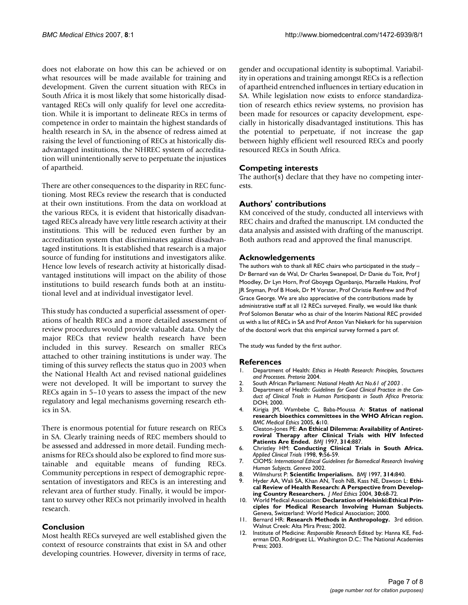does not elaborate on how this can be achieved or on what resources will be made available for training and development. Given the current situation with RECs in South Africa it is most likely that some historically disadvantaged RECs will only qualify for level one accreditation. While it is important to delineate RECs in terms of competence in order to maintain the highest standards of health research in SA, in the absence of redress aimed at raising the level of functioning of RECs at historically disadvantaged institutions, the NHREC system of accreditation will unintentionally serve to perpetuate the injustices of apartheid.

There are other consequences to the disparity in REC functioning. Most RECs review the research that is conducted at their own institutions. From the data on workload at the various RECs, it is evident that historically disadvantaged RECs already have very little research activity at their institutions. This will be reduced even further by an accreditation system that discriminates against disadvantaged institutions. It is established that research is a major source of funding for institutions and investigators alike. Hence low levels of research activity at historically disadvantaged institutions will impact on the ability of those institutions to build research funds both at an institutional level and at individual investigator level.

This study has conducted a superficial assessment of operations of health RECs and a more detailed assessment of review procedures would provide valuable data. Only the major RECs that review health research have been included in this survey. Research on smaller RECs attached to other training institutions is under way. The timing of this survey reflects the status quo in 2003 when the National Health Act and revised national guidelines were not developed. It will be important to survey the RECs again in 5–10 years to assess the impact of the new regulatory and legal mechanisms governing research ethics in SA.

There is enormous potential for future research on RECs in SA. Clearly training needs of REC members should to be assessed and addressed in more detail. Funding mechanisms for RECs should also be explored to find more sustainable and equitable means of funding RECs. Community perceptions in respect of demographic representation of investigators and RECs is an interesting and relevant area of further study. Finally, it would be important to survey other RECs not primarily involved in health research.

# **Conclusion**

Most health RECs surveyed are well established given the context of resource constraints that exist in SA and other developing countries. However, diversity in terms of race,

gender and occupational identity is suboptimal. Variability in operations and training amongst RECs is a reflection of apartheid entrenched influences in tertiary education in SA. While legislation now exists to enforce standardization of research ethics review systems, no provision has been made for resources or capacity development, especially in historically disadvantaged institutions. This has the potential to perpetuate, if not increase the gap between highly efficient well resourced RECs and poorly resourced RECs in South Africa.

# **Competing interests**

The author(s) declare that they have no competing interests.

#### **Authors' contributions**

KM conceived of the study, conducted all interviews with REC chairs and drafted the manuscript. LM conducted the data analysis and assisted with drafting of the manuscript. Both authors read and approved the final manuscript.

# **Acknowledgements**

The authors wish to thank all REC chairs who participated in the study – Dr Bernard van de Wal, Dr Charles Swanepoel, Dr Danie du Toit, Prof J Moodley, Dr Lyn Horn, Prof Gboyega Ogunbanjo, Marzelle Haskins, Prof JR Snyman, Prof B Hoek, Dr M Vorster, Prof Christie Renfrew and Prof Grace George. We are also appreciative of the contributions made by administrative staff at all 12 RECs surveyed. Finally, we would like thank Prof Solomon Benatar who as chair of the Interim National REC provided us with a list of RECs in SA and Prof Anton Van Niekerk for his supervision of the doctoral work that this empirical survey formed a part of.

The study was funded by the first author.

#### **References**

- 1. Department of Health: *Ethics in Health Research: Principles, Structures and Processes. Pretoria* 2004.
- 2. South African Parliament: *National Health Act No.61 of 2003* .
- 3. Department of Health: *Guidelines for Good Clinical Practice in the Conduct of Clinical Trials in Human Participants in South Africa* Pretoria: DOH; 2000.
- 4. Kirigia JM, Wambebe C, Baba-Moussa A: **Status of national research bioethics committees in the WHO African region.** *BMC Medical Ethics* 2005, **6:**10.
- 5. Cleaton-Jones PE: **[An Ethical Dilemma: Availability of Antiret](http://www.ncbi.nlm.nih.gov/entrez/query.fcgi?cmd=Retrieve&db=PubMed&dopt=Abstract&list_uids=9093104)[roviral Therapy after Clinical Trials with HIV Infected](http://www.ncbi.nlm.nih.gov/entrez/query.fcgi?cmd=Retrieve&db=PubMed&dopt=Abstract&list_uids=9093104) [Patients Are Ended.](http://www.ncbi.nlm.nih.gov/entrez/query.fcgi?cmd=Retrieve&db=PubMed&dopt=Abstract&list_uids=9093104)** *BMJ* 1997, **314:**887.
- 6. Christley HM: **Conducting Clinical Trials in South Africa.** *Applied Clinical Trials* 1998, **9:**56-59.
- 7. CIOMS: *International Ethical Guidelines for Biomedical Research Involving Human Subjects. Geneva* 2002.
- 8. Wilmshurst P: **[Scientific Imperialism.](http://www.ncbi.nlm.nih.gov/entrez/query.fcgi?cmd=Retrieve&db=PubMed&dopt=Abstract&list_uids=9093085)** *BMJ* 1997, **314:**840.
- 9. Hyder AA, Wali SA, Khan AN, Teoh NB, Kass NE, Dawson L: **[Ethi](http://www.ncbi.nlm.nih.gov/entrez/query.fcgi?cmd=Retrieve&db=PubMed&dopt=Abstract&list_uids=14872079)[cal Review of Health Research: A Perspective from Develop](http://www.ncbi.nlm.nih.gov/entrez/query.fcgi?cmd=Retrieve&db=PubMed&dopt=Abstract&list_uids=14872079)[ing Country Researchers.](http://www.ncbi.nlm.nih.gov/entrez/query.fcgi?cmd=Retrieve&db=PubMed&dopt=Abstract&list_uids=14872079)** *J Med Ethics* 2004, **30:**68-72.
- 10. World Medical Association: **Declaration of Helsinki:Ethical Principles for Medical Research Involving Human Subjects.** Geneva, Switzerland: World Medical Association; 2000.
- 11. Bernard HR: **Research Methods in Anthropology.** 3rd edition. Walnut Creek: Alta Mira Press; 2002.
- 12. Institute of Medicine: *Responsible Research* Edited by: Hanna KE, Federman DD, Rodriguez LL. Washington D.C.: The National Academies Press; 2003.